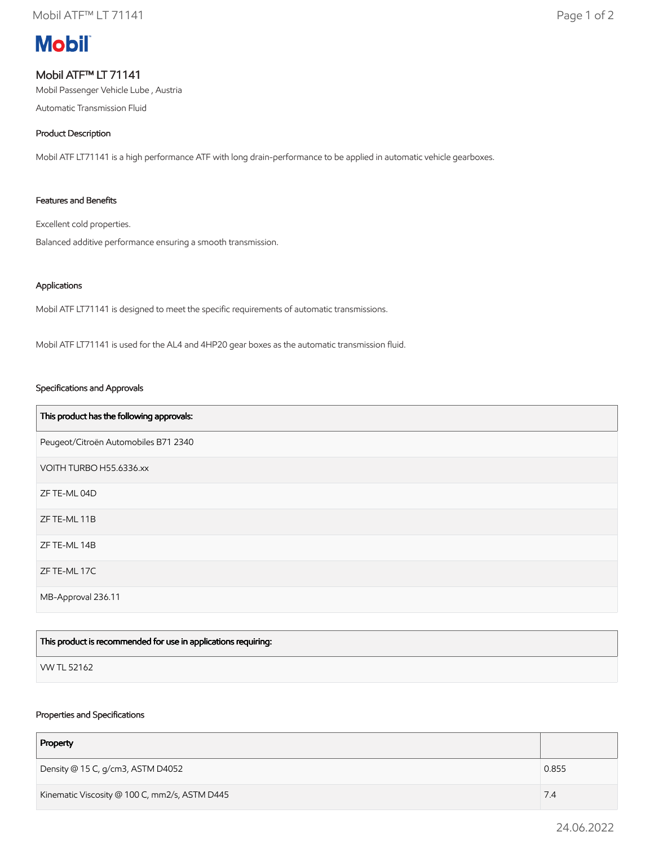# **Mobil**

## Mobil ATF™ LT 71141

Mobil Passenger Vehicle Lube , Austria

Automatic Transmission Fluid

#### Product Description

Mobil ATF LT71141 is a high performance ATF with long drain-performance to be applied in automatic vehicle gearboxes.

#### Features and Benefits

Excellent cold properties.

Balanced additive performance ensuring a smooth transmission.

#### Applications

Mobil ATF LT71141 is designed to meet the specific requirements of automatic transmissions.

Mobil ATF LT71141 is used for the AL4 and 4HP20 gear boxes as the automatic transmission fluid.

#### Specifications and Approvals

| This product has the following approvals: |
|-------------------------------------------|
| Peugeot/Citroën Automobiles B71 2340      |
| VOITH TURBO H55.6336.xx                   |
| ZF TE-ML 04D                              |
| ZF TE-ML 11B                              |
| ZF TE-ML 14B                              |
| ZF TE-ML 17C                              |
| MB-Approval 236.11                        |

| This product is recommended for use in applications requiring: |  |
|----------------------------------------------------------------|--|
| VW TL 52162                                                    |  |

#### Properties and Specifications

| Property                                      |       |
|-----------------------------------------------|-------|
| Density @ 15 C, g/cm3, ASTM D4052             | 0.855 |
| Kinematic Viscosity @ 100 C, mm2/s, ASTM D445 | 7.4   |